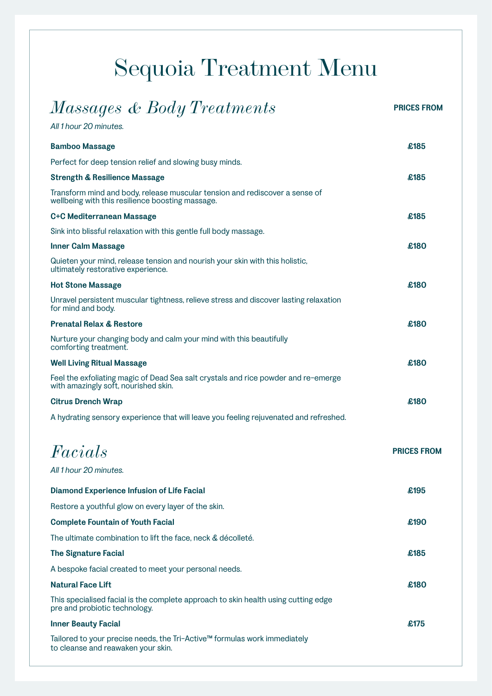## Sequoia Treatment Menu

| Massages & Body Treatments                                                                                                      | <b>PRICES FROM</b> |
|---------------------------------------------------------------------------------------------------------------------------------|--------------------|
| All 1 hour 20 minutes.                                                                                                          |                    |
| <b>Bamboo Massage</b>                                                                                                           | £185               |
| Perfect for deep tension relief and slowing busy minds.                                                                         |                    |
| <b>Strength &amp; Resilience Massage</b>                                                                                        | £185               |
| Transform mind and body, release muscular tension and rediscover a sense of<br>wellbeing with this resilience boosting massage. |                    |
| C+C Mediterranean Massage                                                                                                       | £185               |
| Sink into blissful relaxation with this gentle full body massage.                                                               |                    |
| <b>Inner Calm Massage</b>                                                                                                       | £180               |
| Quieten your mind, release tension and nourish your skin with this holistic,<br>ultimately restorative experience.              |                    |
| <b>Hot Stone Massage</b>                                                                                                        | £180               |
| Unravel persistent muscular tightness, relieve stress and discover lasting relaxation<br>for mind and body.                     |                    |
| <b>Prenatal Relax &amp; Restore</b>                                                                                             | £180               |
| Nurture your changing body and calm your mind with this beautifully<br>comforting treatment.                                    |                    |
| <b>Well Living Ritual Massage</b>                                                                                               | £180               |
| Feel the exfoliating magic of Dead Sea salt crystals and rice powder and re-emerge<br>with amazingly soft, nourished skin.      |                    |
| <b>Citrus Drench Wrap</b>                                                                                                       | £180               |
| A hydrating sensory experience that will leave you feeling rejuvenated and refreshed.                                           |                    |
| Facials                                                                                                                         | <b>PRICES FROM</b> |
| All 1 hour 20 minutes.                                                                                                          |                    |
| <b>Diamond Experience Infusion of Life Facial</b>                                                                               | £195               |
| Restore a youthful glow on every layer of the skin.                                                                             |                    |
| <b>Complete Fountain of Youth Facial</b>                                                                                        | £190               |
| The ultimate combination to lift the face, neck & décolleté.                                                                    |                    |
| <b>The Signature Facial</b>                                                                                                     | £185               |
| A bespoke facial created to meet your personal needs.                                                                           |                    |
| <b>Natural Face Lift</b>                                                                                                        | £180               |
| This specialised facial is the complete approach to skin health using cutting edge<br>pre and probiotic technology.             |                    |
| <b>Inner Beauty Facial</b>                                                                                                      | £175               |
| Tailored to your precise needs, the Tri-Active™ formulas work immediately<br>to cleanse and reawaken your skin.                 |                    |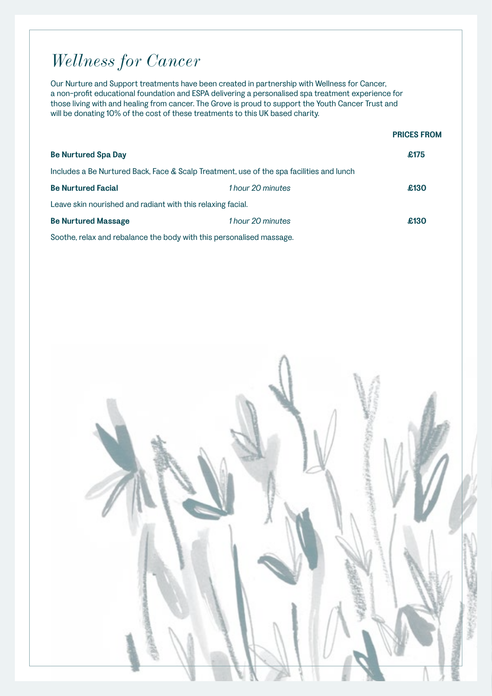## *Wellness for Cancer*

Our Nurture and Support treatments have been created in partnership with Wellness for Cancer, a non-profit educational foundation and ESPA delivering a personalised spa treatment experience for those living with and healing from cancer. The Grove is proud to support the Youth Cancer Trust and will be donating 10% of the cost of these treatments to this UK based charity.

|                                                                      |                                                                                          | <b>PRICES FROM</b> |
|----------------------------------------------------------------------|------------------------------------------------------------------------------------------|--------------------|
| <b>Be Nurtured Spa Day</b>                                           |                                                                                          | £175               |
|                                                                      | Includes a Be Nurtured Back, Face & Scalp Treatment, use of the spa facilities and lunch |                    |
| <b>Be Nurtured Facial</b>                                            | 1 hour 20 minutes                                                                        | £130               |
| Leave skin nourished and radiant with this relaxing facial.          |                                                                                          |                    |
| <b>Be Nurtured Massage</b>                                           | 1 hour 20 minutes                                                                        | £130               |
| Soothe, relax and rebalance the body with this personalised massage. |                                                                                          |                    |